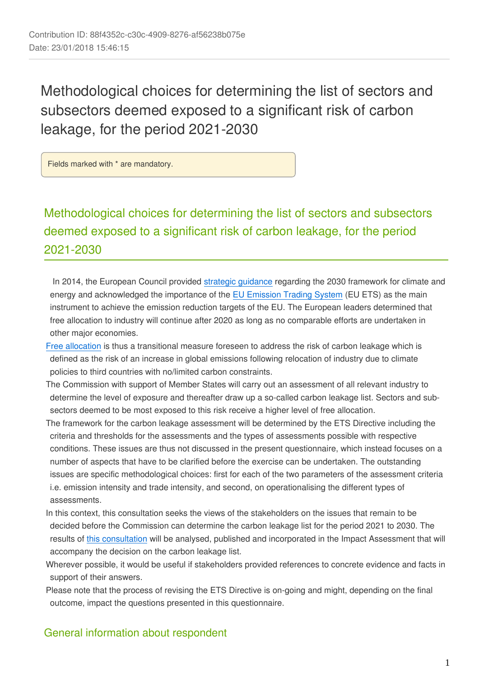Methodological choices for determining the list of sectors and subsectors deemed exposed to a significant risk of carbon leakage, for the period 2021-2030

Fields marked with \* are mandatory.

Methodological choices for determining the list of sectors and subsectors deemed exposed to a significant risk of carbon leakage, for the period 2021-2030

 In 2014, the European Council provided [strategic guidance](http://www.consilium.europa.eu/uedocs/cms_data/docs/pressdata/en/ec/145397.pdf) regarding the 2030 framework for climate and energy and acknowledged the importance of the [EU Emission Trading System](https://ec.europa.eu/clima/policies/ets_en) (EU ETS) as the main instrument to achieve the emission reduction targets of the EU. The European leaders determined that free allocation to industry will continue after 2020 as long as no comparable efforts are undertaken in other major economies.

- [Free allocation](https://ec.europa.eu/clima/policies/ets/allowances_en) is thus a transitional measure foreseen to address the risk of carbon leakage which is defined as the risk of an increase in global emissions following relocation of industry due to climate policies to third countries with no/limited carbon constraints.
- The Commission with support of Member States will carry out an assessment of all relevant industry to determine the level of exposure and thereafter draw up a so-called carbon leakage list. Sectors and subsectors deemed to be most exposed to this risk receive a higher level of free allocation.
- The framework for the carbon leakage assessment will be determined by the ETS Directive including the criteria and thresholds for the assessments and the types of assessments possible with respective conditions. These issues are thus not discussed in the present questionnaire, which instead focuses on a number of aspects that have to be clarified before the exercise can be undertaken. The outstanding issues are specific methodological choices: first for each of the two parameters of the assessment criteria i.e. emission intensity and trade intensity, and second, on operationalising the different types of assessments.
- In this context, this consultation seeks the views of the stakeholders on the issues that remain to be decided before the Commission can determine the carbon leakage list for the period 2021 to 2030. The results of [this consultation](https://ec.europa.eu/clima/consultations/methodological-choices-determining-list-sectors-and-subsectors-deemed-exposed_en) will be analysed, published and incorporated in the Impact Assessment that will accompany the decision on the carbon leakage list.
- Wherever possible, it would be useful if stakeholders provided references to concrete evidence and facts in support of their answers.
- Please note that the process of revising the ETS Directive is on-going and might, depending on the final outcome, impact the questions presented in this questionnaire.

### General information about respondent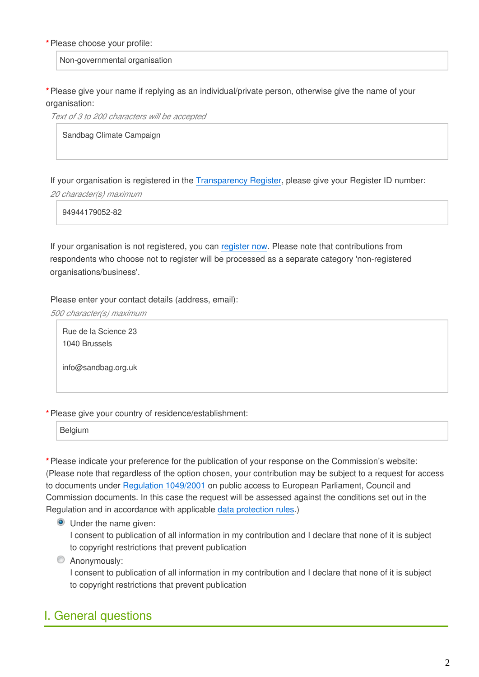### **\***Please choose your profile:

Non-governmental organisation

**\***Please give your name if replying as an individual/private person, otherwise give the name of your organisation:

*Text of 3 to 200 characters will be accepted*

Sandbag Climate Campaign

If your organisation is registered in the [Transparency Register,](http://ec.europa.eu/transparencyregister/public/homePage.do?locale=en) please give your Register ID number:

*20 character(s) maximum*

94944179052-82

If your organisation is not registered, you can [register now](http://ec.europa.eu/transparencyregister/public/ri/registering.do?locale=en). Please note that contributions from respondents who choose not to register will be processed as a separate category 'non-registered organisations/business'.

Please enter your contact details (address, email):

*500 character(s) maximum*

Rue de la Science 23 1040 Brussels

info@sandbag.org.uk

### **\***Please give your country of residence/establishment:

**Belgium** 

**\***Please indicate your preference for the publication of your response on the Commission's website: (Please note that regardless of the option chosen, your contribution may be subject to a request for access to documents under [Regulation 1049/2001](http://eur-lex.europa.eu/legal-content/EN/TXT/?uri=CELEX:32001R1049) on public access to European Parliament, Council and Commission documents. In this case the request will be assessed against the conditions set out in the Regulation and in accordance with applicable [data protection rules.](http://ec.europa.eu/justice/data-protection/))

**O** Under the name given:

I consent to publication of all information in my contribution and I declare that none of it is subject to copyright restrictions that prevent publication

**C** Anonymously:

I consent to publication of all information in my contribution and I declare that none of it is subject to copyright restrictions that prevent publication

## I. General questions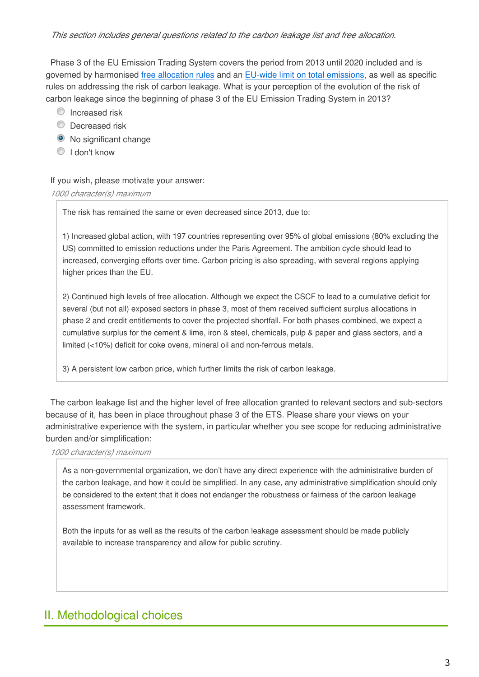### *This section includes general questions related to the carbon leakage list and free allocation.*

Phase 3 of the EU Emission Trading System covers the period from 2013 until 2020 included and is governed by harmonised [free allocation rules](https://ec.europa.eu/clima/policies/ets/allowances_en) and an [EU-wide limit on total emissions,](https://ec.europa.eu/clima/policies/ets/cap_en) as well as specific rules on addressing the risk of carbon leakage. What is your perception of the evolution of the risk of carbon leakage since the beginning of phase 3 of the EU Emission Trading System in 2013?

- **O** Increased risk
- **C** Decreased risk
- No significant change
- I don't know

If you wish, please motivate your answer:

#### *1000 character(s) maximum*

The risk has remained the same or even decreased since 2013, due to:

1) Increased global action, with 197 countries representing over 95% of global emissions (80% excluding the US) committed to emission reductions under the Paris Agreement. The ambition cycle should lead to increased, converging efforts over time. Carbon pricing is also spreading, with several regions applying higher prices than the EU.

2) Continued high levels of free allocation. Although we expect the CSCF to lead to a cumulative deficit for several (but not all) exposed sectors in phase 3, most of them received sufficient surplus allocations in phase 2 and credit entitlements to cover the projected shortfall. For both phases combined, we expect a cumulative surplus for the cement & lime, iron & steel, chemicals, pulp & paper and glass sectors, and a limited (<10%) deficit for coke ovens, mineral oil and non-ferrous metals.

3) A persistent low carbon price, which further limits the risk of carbon leakage.

The carbon leakage list and the higher level of free allocation granted to relevant sectors and sub-sectors because of it, has been in place throughout phase 3 of the ETS. Please share your views on your administrative experience with the system, in particular whether you see scope for reducing administrative burden and/or simplification:

*1000 character(s) maximum*

As a non-governmental organization, we don't have any direct experience with the administrative burden of the carbon leakage, and how it could be simplified. In any case, any administrative simplification should only be considered to the extent that it does not endanger the robustness or fairness of the carbon leakage assessment framework.

Both the inputs for as well as the results of the carbon leakage assessment should be made publicly available to increase transparency and allow for public scrutiny.

# II. Methodological choices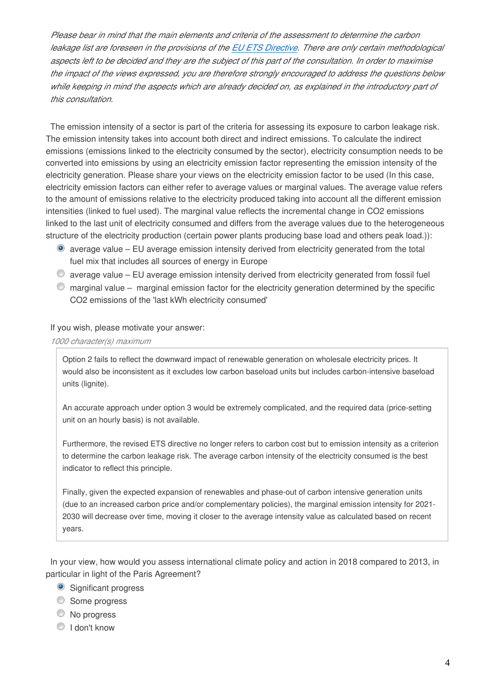*Please bear in mind that the main elements and criteria of the assessment to determine the carbon leakage list are foreseen in the provisions of the [EU ETS Directive](http://eur-lex.europa.eu/legal-content/EN/TXT/?uri=CELEX:02003L0087-20140430). There are only certain methodological aspects left to be decided and they are the subject of this part of the consultation. In order to maximise the impact of the views expressed, you are therefore strongly encouraged to address the questions below while keeping in mind the aspects which are already decided on, as explained in the introductory part of this consultation.*

The emission intensity of a sector is part of the criteria for assessing its exposure to carbon leakage risk. The emission intensity takes into account both direct and indirect emissions. To calculate the indirect emissions (emissions linked to the electricity consumed by the sector), electricity consumption needs to be converted into emissions by using an electricity emission factor representing the emission intensity of the electricity generation. Please share your views on the electricity emission factor to be used (In this case, electricity emission factors can either refer to average values or marginal values. The average value refers to the amount of emissions relative to the electricity produced taking into account all the different emission intensities (linked to fuel used). The marginal value reflects the incremental change in CO2 emissions linked to the last unit of electricity consumed and differs from the average values due to the heterogeneous structure of the electricity production (certain power plants producing base load and others peak load.)):

- average value EU average emission intensity derived from electricity generated from the total fuel mix that includes all sources of energy in Europe
- $\degree$  average value EU average emission intensity derived from electricity generated from fossil fuel
- $\bullet$  marginal value marginal emission factor for the electricity generation determined by the specific CO2 emissions of the 'last kWh electricity consumed'

### If you wish, please motivate your answer:

*1000 character(s) maximum*

Option 2 fails to reflect the downward impact of renewable generation on wholesale electricity prices. It would also be inconsistent as it excludes low carbon baseload units but includes carbon-intensive baseload units (lignite).

An accurate approach under option 3 would be extremely complicated, and the required data (price-setting unit on an hourly basis) is not available.

Furthermore, the revised ETS directive no longer refers to carbon cost but to emission intensity as a criterion to determine the carbon leakage risk. The average carbon intensity of the electricity consumed is the best indicator to reflect this principle.

Finally, given the expected expansion of renewables and phase-out of carbon intensive generation units (due to an increased carbon price and/or complementary policies), the marginal emission intensity for 2021- 2030 will decrease over time, moving it closer to the average intensity value as calculated based on recent years.

In your view, how would you assess international climate policy and action in 2018 compared to 2013, in particular in light of the Paris Agreement?

- Significant progress
- Some progress
- C No progress
- <sup>O</sup> I don't know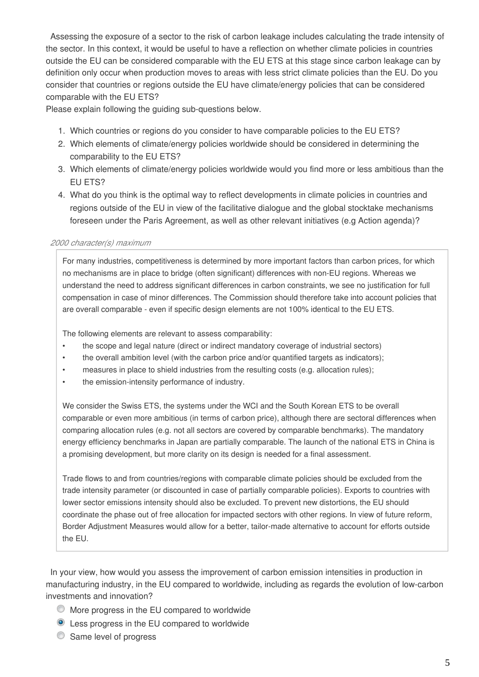Assessing the exposure of a sector to the risk of carbon leakage includes calculating the trade intensity of the sector. In this context, it would be useful to have a reflection on whether climate policies in countries outside the EU can be considered comparable with the EU ETS at this stage since carbon leakage can by definition only occur when production moves to areas with less strict climate policies than the EU. Do you consider that countries or regions outside the EU have climate/energy policies that can be considered comparable with the EU ETS?

Please explain following the guiding sub-questions below.

- 1. Which countries or regions do you consider to have comparable policies to the EU ETS?
- 2. Which elements of climate/energy policies worldwide should be considered in determining the comparability to the EU ETS?
- 3. Which elements of climate/energy policies worldwide would you find more or less ambitious than the EU ETS?
- 4. What do you think is the optimal way to reflect developments in climate policies in countries and regions outside of the EU in view of the facilitative dialogue and the global stocktake mechanisms foreseen under the Paris Agreement, as well as other relevant initiatives (e.g Action agenda)?

### *2000 character(s) maximum*

For many industries, competitiveness is determined by more important factors than carbon prices, for which no mechanisms are in place to bridge (often significant) differences with non-EU regions. Whereas we understand the need to address significant differences in carbon constraints, we see no justification for full compensation in case of minor differences. The Commission should therefore take into account policies that are overall comparable - even if specific design elements are not 100% identical to the EU ETS.

The following elements are relevant to assess comparability:

- the scope and legal nature (direct or indirect mandatory coverage of industrial sectors)
- the overall ambition level (with the carbon price and/or quantified targets as indicators);
- measures in place to shield industries from the resulting costs (e.g. allocation rules);
- the emission-intensity performance of industry.

We consider the Swiss ETS, the systems under the WCI and the South Korean ETS to be overall comparable or even more ambitious (in terms of carbon price), although there are sectoral differences when comparing allocation rules (e.g. not all sectors are covered by comparable benchmarks). The mandatory energy efficiency benchmarks in Japan are partially comparable. The launch of the national ETS in China is a promising development, but more clarity on its design is needed for a final assessment.

Trade flows to and from countries/regions with comparable climate policies should be excluded from the trade intensity parameter (or discounted in case of partially comparable policies). Exports to countries with lower sector emissions intensity should also be excluded. To prevent new distortions, the EU should coordinate the phase out of free allocation for impacted sectors with other regions. In view of future reform, Border Adjustment Measures would allow for a better, tailor-made alternative to account for efforts outside the EU.

In your view, how would you assess the improvement of carbon emission intensities in production in manufacturing industry, in the EU compared to worldwide, including as regards the evolution of low-carbon investments and innovation?

- More progress in the EU compared to worldwide
- Less progress in the EU compared to worldwide
- Same level of progress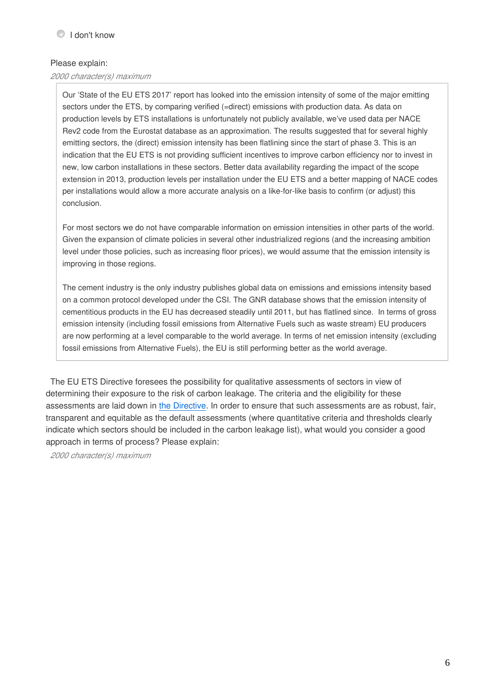### Please explain:

### *2000 character(s) maximum*

Our 'State of the EU ETS 2017' report has looked into the emission intensity of some of the major emitting sectors under the ETS, by comparing verified (=direct) emissions with production data. As data on production levels by ETS installations is unfortunately not publicly available, we've used data per NACE Rev2 code from the Eurostat database as an approximation. The results suggested that for several highly emitting sectors, the (direct) emission intensity has been flatlining since the start of phase 3. This is an indication that the EU ETS is not providing sufficient incentives to improve carbon efficiency nor to invest in new, low carbon installations in these sectors. Better data availability regarding the impact of the scope extension in 2013, production levels per installation under the EU ETS and a better mapping of NACE codes per installations would allow a more accurate analysis on a like-for-like basis to confirm (or adjust) this conclusion.

For most sectors we do not have comparable information on emission intensities in other parts of the world. Given the expansion of climate policies in several other industrialized regions (and the increasing ambition level under those policies, such as increasing floor prices), we would assume that the emission intensity is improving in those regions.

The cement industry is the only industry publishes global data on emissions and emissions intensity based on a common protocol developed under the CSI. The GNR database shows that the emission intensity of cementitious products in the EU has decreased steadily until 2011, but has flatlined since. In terms of gross emission intensity (including fossil emissions from Alternative Fuels such as waste stream) EU producers are now performing at a level comparable to the world average. In terms of net emission intensity (excluding fossil emissions from Alternative Fuels), the EU is still performing better as the world average.

The EU ETS Directive foresees the possibility for qualitative assessments of sectors in view of determining their exposure to the risk of carbon leakage. The criteria and the eligibility for these assessments are laid down in [the Directive](http://eur-lex.europa.eu/legal-content/EN/TXT/?uri=CELEX:52015PC0337). In order to ensure that such assessments are as robust, fair, transparent and equitable as the default assessments (where quantitative criteria and thresholds clearly indicate which sectors should be included in the carbon leakage list), what would you consider a good approach in terms of process? Please explain:

*2000 character(s) maximum*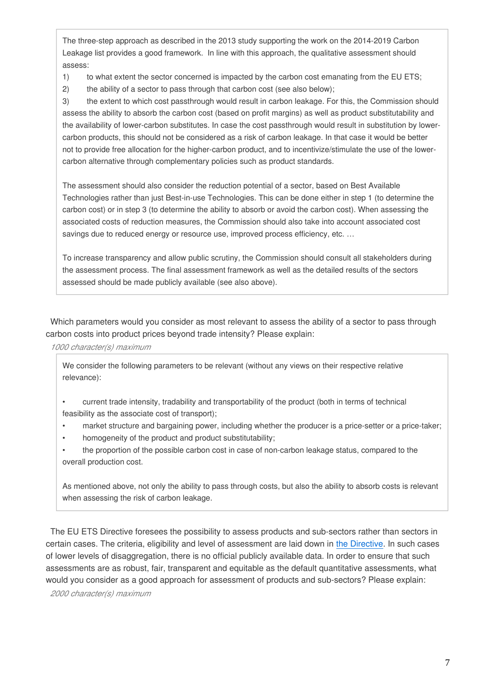The three-step approach as described in the 2013 study supporting the work on the 2014-2019 Carbon Leakage list provides a good framework. In line with this approach, the qualitative assessment should assess:

1) to what extent the sector concerned is impacted by the carbon cost emanating from the EU ETS;

2) the ability of a sector to pass through that carbon cost (see also below);

3) the extent to which cost passthrough would result in carbon leakage. For this, the Commission should assess the ability to absorb the carbon cost (based on profit margins) as well as product substitutability and the availability of lower-carbon substitutes. In case the cost passthrough would result in substitution by lowercarbon products, this should not be considered as a risk of carbon leakage. In that case it would be better not to provide free allocation for the higher-carbon product, and to incentivize/stimulate the use of the lowercarbon alternative through complementary policies such as product standards.

The assessment should also consider the reduction potential of a sector, based on Best Available Technologies rather than just Best-in-use Technologies. This can be done either in step 1 (to determine the carbon cost) or in step 3 (to determine the ability to absorb or avoid the carbon cost). When assessing the associated costs of reduction measures, the Commission should also take into account associated cost savings due to reduced energy or resource use, improved process efficiency, etc. ...

To increase transparency and allow public scrutiny, the Commission should consult all stakeholders during the assessment process. The final assessment framework as well as the detailed results of the sectors assessed should be made publicly available (see also above).

Which parameters would you consider as most relevant to assess the ability of a sector to pass through carbon costs into product prices beyond trade intensity? Please explain:

*1000 character(s) maximum*

We consider the following parameters to be relevant (without any views on their respective relative relevance):

• current trade intensity, tradability and transportability of the product (both in terms of technical feasibility as the associate cost of transport);

- market structure and bargaining power, including whether the producer is a price-setter or a price-taker;
- homogeneity of the product and product substitutability;

• the proportion of the possible carbon cost in case of non-carbon leakage status, compared to the overall production cost.

As mentioned above, not only the ability to pass through costs, but also the ability to absorb costs is relevant when assessing the risk of carbon leakage.

The EU ETS Directive foresees the possibility to assess products and sub-sectors rather than sectors in certain cases. The criteria, eligibility and level of assessment are laid down in [the Directive](http://eur-lex.europa.eu/legal-content/EN/TXT/?uri=CELEX:52015PC0337). In such cases of lower levels of disaggregation, there is no official publicly available data. In order to ensure that such assessments are as robust, fair, transparent and equitable as the default quantitative assessments, what would you consider as a good approach for assessment of products and sub-sectors? Please explain:

*2000 character(s) maximum*